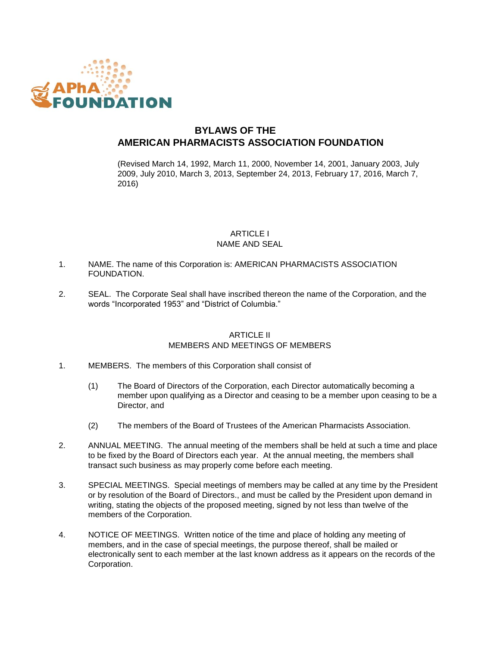

# **BYLAWS OF THE AMERICAN PHARMACISTS ASSOCIATION FOUNDATION**

(Revised March 14, 1992, March 11, 2000, November 14, 2001, January 2003, July 2009, July 2010, March 3, 2013, September 24, 2013, February 17, 2016, March 7, 2016)

## **ARTICLE I** NAME AND SEAL

- 1. NAME. The name of this Corporation is: AMERICAN PHARMACISTS ASSOCIATION FOUNDATION.
- 2. SEAL. The Corporate Seal shall have inscribed thereon the name of the Corporation, and the words "Incorporated 1953" and "District of Columbia."

## ARTICLE II MEMBERS AND MEETINGS OF MEMBERS

- 1. MEMBERS. The members of this Corporation shall consist of
	- (1) The Board of Directors of the Corporation, each Director automatically becoming a member upon qualifying as a Director and ceasing to be a member upon ceasing to be a Director, and
	- (2) The members of the Board of Trustees of the American Pharmacists Association.
- 2. ANNUAL MEETING. The annual meeting of the members shall be held at such a time and place to be fixed by the Board of Directors each year. At the annual meeting, the members shall transact such business as may properly come before each meeting.
- 3. SPECIAL MEETINGS. Special meetings of members may be called at any time by the President or by resolution of the Board of Directors., and must be called by the President upon demand in writing, stating the objects of the proposed meeting, signed by not less than twelve of the members of the Corporation.
- 4. NOTICE OF MEETINGS. Written notice of the time and place of holding any meeting of members, and in the case of special meetings, the purpose thereof, shall be mailed or electronically sent to each member at the last known address as it appears on the records of the Corporation.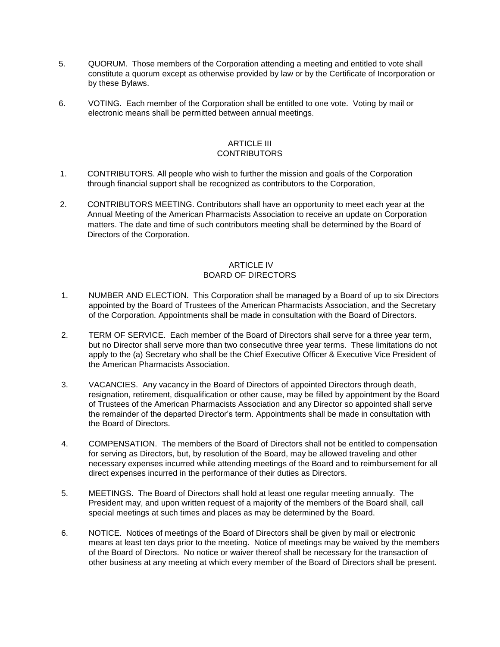- 5. QUORUM. Those members of the Corporation attending a meeting and entitled to vote shall constitute a quorum except as otherwise provided by law or by the Certificate of Incorporation or by these Bylaws.
- 6. VOTING. Each member of the Corporation shall be entitled to one vote. Voting by mail or electronic means shall be permitted between annual meetings.

#### ARTICLE III **CONTRIBUTORS**

- 1. CONTRIBUTORS. All people who wish to further the mission and goals of the Corporation through financial support shall be recognized as contributors to the Corporation,
- 2. CONTRIBUTORS MEETING. Contributors shall have an opportunity to meet each year at the Annual Meeting of the American Pharmacists Association to receive an update on Corporation matters. The date and time of such contributors meeting shall be determined by the Board of Directors of the Corporation.

#### ARTICLE IV BOARD OF DIRECTORS

- 1. NUMBER AND ELECTION. This Corporation shall be managed by a Board of up to six Directors appointed by the Board of Trustees of the American Pharmacists Association, and the Secretary of the Corporation. Appointments shall be made in consultation with the Board of Directors.
- 2. TERM OF SERVICE. Each member of the Board of Directors shall serve for a three year term, but no Director shall serve more than two consecutive three year terms. These limitations do not apply to the (a) Secretary who shall be the Chief Executive Officer & Executive Vice President of the American Pharmacists Association.
- 3. VACANCIES. Any vacancy in the Board of Directors of appointed Directors through death, resignation, retirement, disqualification or other cause, may be filled by appointment by the Board of Trustees of the American Pharmacists Association and any Director so appointed shall serve the remainder of the departed Director's term. Appointments shall be made in consultation with the Board of Directors.
- 4. COMPENSATION. The members of the Board of Directors shall not be entitled to compensation for serving as Directors, but, by resolution of the Board, may be allowed traveling and other necessary expenses incurred while attending meetings of the Board and to reimbursement for all direct expenses incurred in the performance of their duties as Directors.
- 5. MEETINGS. The Board of Directors shall hold at least one regular meeting annually. The President may, and upon written request of a majority of the members of the Board shall, call special meetings at such times and places as may be determined by the Board.
- 6. NOTICE. Notices of meetings of the Board of Directors shall be given by mail or electronic means at least ten days prior to the meeting. Notice of meetings may be waived by the members of the Board of Directors. No notice or waiver thereof shall be necessary for the transaction of other business at any meeting at which every member of the Board of Directors shall be present.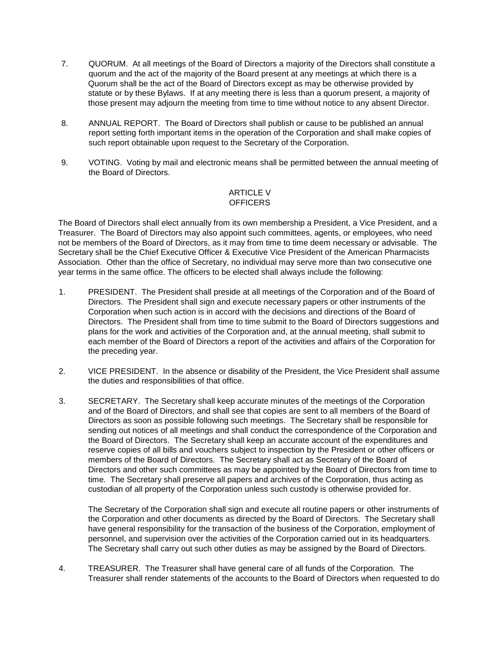- 7. QUORUM. At all meetings of the Board of Directors a majority of the Directors shall constitute a quorum and the act of the majority of the Board present at any meetings at which there is a Quorum shall be the act of the Board of Directors except as may be otherwise provided by statute or by these Bylaws. If at any meeting there is less than a quorum present, a majority of those present may adjourn the meeting from time to time without notice to any absent Director.
- 8. ANNUAL REPORT. The Board of Directors shall publish or cause to be published an annual report setting forth important items in the operation of the Corporation and shall make copies of such report obtainable upon request to the Secretary of the Corporation.
- 9. VOTING. Voting by mail and electronic means shall be permitted between the annual meeting of the Board of Directors.

## ARTICLE V **OFFICERS**

The Board of Directors shall elect annually from its own membership a President, a Vice President, and a Treasurer. The Board of Directors may also appoint such committees, agents, or employees, who need not be members of the Board of Directors, as it may from time to time deem necessary or advisable. The Secretary shall be the Chief Executive Officer & Executive Vice President of the American Pharmacists Association. Other than the office of Secretary, no individual may serve more than two consecutive one year terms in the same office. The officers to be elected shall always include the following:

- 1. PRESIDENT. The President shall preside at all meetings of the Corporation and of the Board of Directors. The President shall sign and execute necessary papers or other instruments of the Corporation when such action is in accord with the decisions and directions of the Board of Directors. The President shall from time to time submit to the Board of Directors suggestions and plans for the work and activities of the Corporation and, at the annual meeting, shall submit to each member of the Board of Directors a report of the activities and affairs of the Corporation for the preceding year.
- 2. VICE PRESIDENT. In the absence or disability of the President, the Vice President shall assume the duties and responsibilities of that office.
- 3. SECRETARY. The Secretary shall keep accurate minutes of the meetings of the Corporation and of the Board of Directors, and shall see that copies are sent to all members of the Board of Directors as soon as possible following such meetings. The Secretary shall be responsible for sending out notices of all meetings and shall conduct the correspondence of the Corporation and the Board of Directors. The Secretary shall keep an accurate account of the expenditures and reserve copies of all bills and vouchers subject to inspection by the President or other officers or members of the Board of Directors. The Secretary shall act as Secretary of the Board of Directors and other such committees as may be appointed by the Board of Directors from time to time. The Secretary shall preserve all papers and archives of the Corporation, thus acting as custodian of all property of the Corporation unless such custody is otherwise provided for.

The Secretary of the Corporation shall sign and execute all routine papers or other instruments of the Corporation and other documents as directed by the Board of Directors. The Secretary shall have general responsibility for the transaction of the business of the Corporation, employment of personnel, and supervision over the activities of the Corporation carried out in its headquarters. The Secretary shall carry out such other duties as may be assigned by the Board of Directors.

4. TREASURER. The Treasurer shall have general care of all funds of the Corporation. The Treasurer shall render statements of the accounts to the Board of Directors when requested to do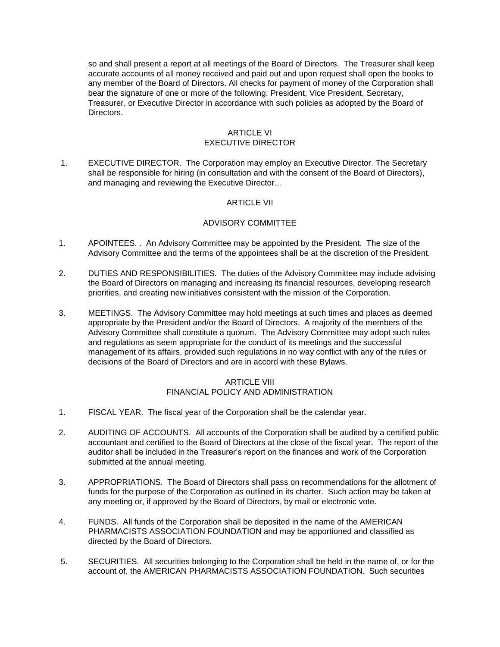so and shall present a report at all meetings of the Board of Directors. The Treasurer shall keep accurate accounts of all money received and paid out and upon request shall open the books to any member of the Board of Directors. All checks for payment of money of the Corporation shall bear the signature of one or more of the following: President, Vice President, Secretary, Treasurer, or Executive Director in accordance with such policies as adopted by the Board of Directors.

## **ARTICLE VI** EXECUTIVE DIRECTOR

1. EXECUTIVE DIRECTOR. The Corporation may employ an Executive Director. The Secretary shall be responsible for hiring (in consultation and with the consent of the Board of Directors), and managing and reviewing the Executive Director...

#### ARTICLE VII

#### ADVISORY COMMITTEE

- 1. APOINTEES. . An Advisory Committee may be appointed by the President. The size of the Advisory Committee and the terms of the appointees shall be at the discretion of the President.
- 2. DUTIES AND RESPONSIBILITIES. The duties of the Advisory Committee may include advising the Board of Directors on managing and increasing its financial resources, developing research priorities, and creating new initiatives consistent with the mission of the Corporation.
- 3. MEETINGS. The Advisory Committee may hold meetings at such times and places as deemed appropriate by the President and/or the Board of Directors. A majority of the members of the Advisory Committee shall constitute a quorum. The Advisory Committee may adopt such rules and regulations as seem appropriate for the conduct of its meetings and the successful management of its affairs, provided such regulations in no way conflict with any of the rules or decisions of the Board of Directors and are in accord with these Bylaws.

#### ARTICLE VIII FINANCIAL POLICY AND ADMINISTRATION

- 1. FISCAL YEAR. The fiscal year of the Corporation shall be the calendar year.
- 2. AUDITING OF ACCOUNTS. All accounts of the Corporation shall be audited by a certified public accountant and certified to the Board of Directors at the close of the fiscal year. The report of the auditor shall be included in the Treasurer's report on the finances and work of the Corporation submitted at the annual meeting.
- 3. APPROPRIATIONS. The Board of Directors shall pass on recommendations for the allotment of funds for the purpose of the Corporation as outlined in its charter. Such action may be taken at any meeting or, if approved by the Board of Directors, by mail or electronic vote.
- 4. FUNDS. All funds of the Corporation shall be deposited in the name of the AMERICAN PHARMACISTS ASSOCIATION FOUNDATION and may be apportioned and classified as directed by the Board of Directors.
- 5. SECURITIES. All securities belonging to the Corporation shall be held in the name of, or for the account of, the AMERICAN PHARMACISTS ASSOCIATION FOUNDATION. Such securities